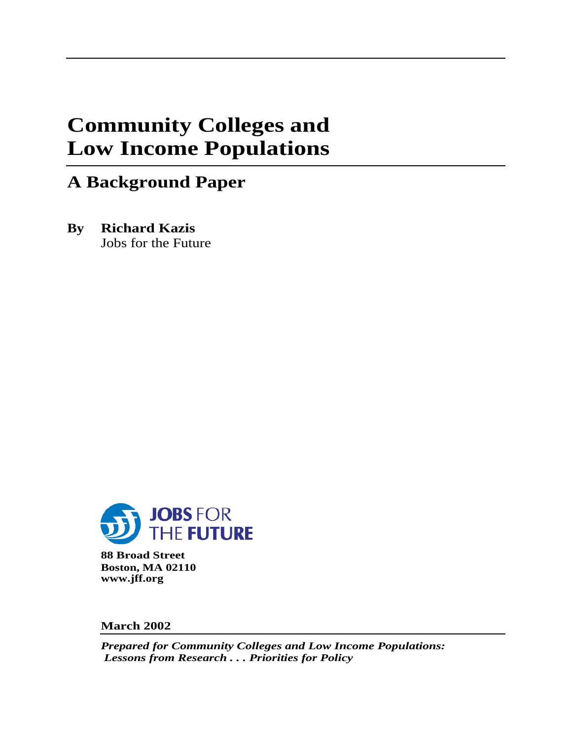# **Community Colleges and Low Income Populations**

# **A Background Paper**

**By Richard Kazis** Jobs for the Future



**88 Broad Street Boston, MA 02110 www.jff.org**

**March 2002**

*Prepared for Community Colleges and Low Income Populations: Lessons from Research . . . Priorities for Policy*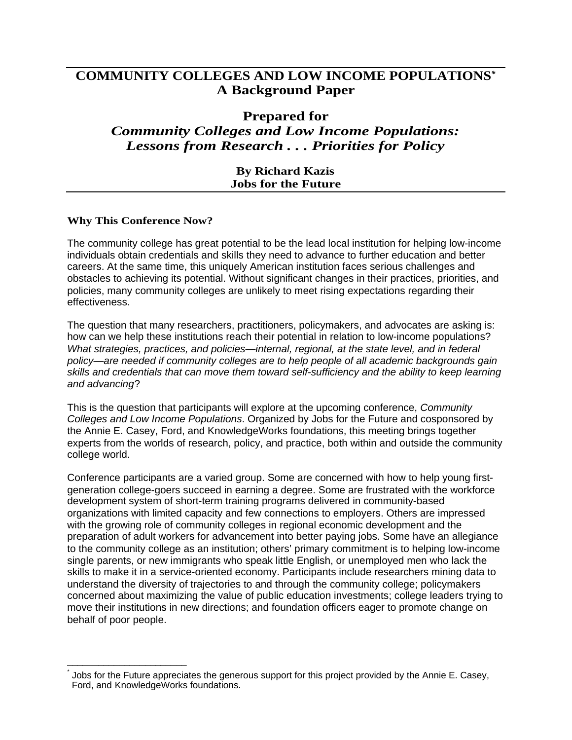### **COMMUNITY COLLEGES AND LOW INCOME POPULATIONS***\** **A Background Paper**

#### **Prepared for**

## *Community Colleges and Low Income Populations: Lessons from Research . . . Priorities for Policy*

#### **By Richard Kazis Jobs for the Future**

#### **Why This Conference Now?**

\_\_\_\_\_\_\_\_\_\_\_\_\_\_\_\_\_\_\_\_\_\_\_

The community college has great potential to be the lead local institution for helping low-income individuals obtain credentials and skills they need to advance to further education and better careers. At the same time, this uniquely American institution faces serious challenges and obstacles to achieving its potential. Without significant changes in their practices, priorities, and policies, many community colleges are unlikely to meet rising expectations regarding their effectiveness.

The question that many researchers, practitioners, policymakers, and advocates are asking is: how can we help these institutions reach their potential in relation to low-income populations? What strategies, practices, and policies—internal, regional, at the state level, and in federal policy—are needed if community colleges are to help people of all academic backgrounds gain skills and credentials that can move them toward self-sufficiency and the ability to keep learning and advancing?

This is the question that participants will explore at the upcoming conference, Community Colleges and Low Income Populations. Organized by Jobs for the Future and cosponsored by the Annie E. Casey, Ford, and KnowledgeWorks foundations, this meeting brings together experts from the worlds of research, policy, and practice, both within and outside the community college world.

Conference participants are a varied group. Some are concerned with how to help young firstgeneration college-goers succeed in earning a degree. Some are frustrated with the workforce development system of short-term training programs delivered in community-based organizations with limited capacity and few connections to employers. Others are impressed with the growing role of community colleges in regional economic development and the preparation of adult workers for advancement into better paying jobs. Some have an allegiance to the community college as an institution; others' primary commitment is to helping low-income single parents, or new immigrants who speak little English, or unemployed men who lack the skills to make it in a service-oriented economy. Participants include researchers mining data to understand the diversity of trajectories to and through the community college; policymakers concerned about maximizing the value of public education investments; college leaders trying to move their institutions in new directions; and foundation officers eager to promote change on behalf of poor people.

<sup>\*</sup> Jobs for the Future appreciates the generous support for this project provided by the Annie E. Casey, Ford, and KnowledgeWorks foundations.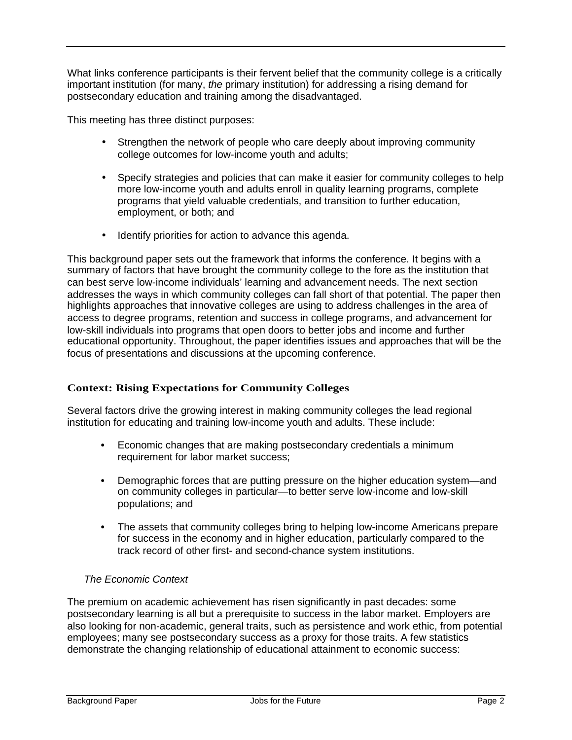What links conference participants is their fervent belief that the community college is a critically important institution (for many, the primary institution) for addressing a rising demand for postsecondary education and training among the disadvantaged.

This meeting has three distinct purposes:

- Strengthen the network of people who care deeply about improving community college outcomes for low-income youth and adults;
- Specify strategies and policies that can make it easier for community colleges to help more low-income youth and adults enroll in quality learning programs, complete programs that yield valuable credentials, and transition to further education, employment, or both; and
- Identify priorities for action to advance this agenda.

This background paper sets out the framework that informs the conference. It begins with a summary of factors that have brought the community college to the fore as the institution that can best serve low-income individuals' learning and advancement needs. The next section addresses the ways in which community colleges can fall short of that potential. The paper then highlights approaches that innovative colleges are using to address challenges in the area of access to degree programs, retention and success in college programs, and advancement for low-skill individuals into programs that open doors to better jobs and income and further educational opportunity. Throughout, the paper identifies issues and approaches that will be the focus of presentations and discussions at the upcoming conference.

#### **Context: Rising Expectations for Community Colleges**

Several factors drive the growing interest in making community colleges the lead regional institution for educating and training low-income youth and adults. These include:

- **•** Economic changes that are making postsecondary credentials a minimum requirement for labor market success;
- **•** Demographic forces that are putting pressure on the higher education system—and on community colleges in particular—to better serve low-income and low-skill populations; and
- **•** The assets that community colleges bring to helping low-income Americans prepare for success in the economy and in higher education, particularly compared to the track record of other first- and second-chance system institutions.

#### The Economic Context

The premium on academic achievement has risen significantly in past decades: some postsecondary learning is all but a prerequisite to success in the labor market. Employers are also looking for non-academic, general traits, such as persistence and work ethic, from potential employees; many see postsecondary success as a proxy for those traits. A few statistics demonstrate the changing relationship of educational attainment to economic success: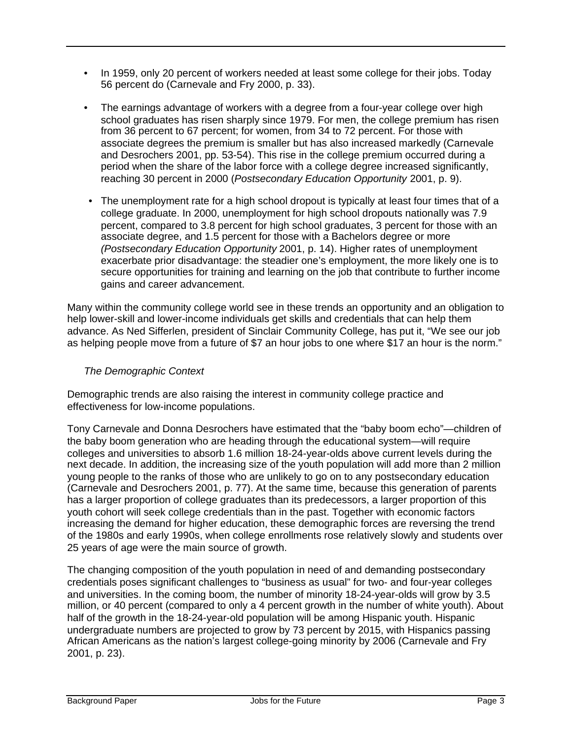- In 1959, only 20 percent of workers needed at least some college for their jobs. Today 56 percent do (Carnevale and Fry 2000, p. 33).
- The earnings advantage of workers with a degree from a four-year college over high school graduates has risen sharply since 1979. For men, the college premium has risen from 36 percent to 67 percent; for women, from 34 to 72 percent. For those with associate degrees the premium is smaller but has also increased markedly (Carnevale and Desrochers 2001, pp. 53-54). This rise in the college premium occurred during a period when the share of the labor force with a college degree increased significantly, reaching 30 percent in 2000 (Postsecondary Education Opportunity 2001, p. 9).
- The unemployment rate for a high school dropout is typically at least four times that of a college graduate. In 2000, unemployment for high school dropouts nationally was 7.9 percent, compared to 3.8 percent for high school graduates, 3 percent for those with an associate degree, and 1.5 percent for those with a Bachelors degree or more (Postsecondary Education Opportunity 2001, p. 14). Higher rates of unemployment exacerbate prior disadvantage: the steadier one's employment, the more likely one is to secure opportunities for training and learning on the job that contribute to further income gains and career advancement.

Many within the community college world see in these trends an opportunity and an obligation to help lower-skill and lower-income individuals get skills and credentials that can help them advance. As Ned Sifferlen, president of Sinclair Community College, has put it, "We see our job as helping people move from a future of \$7 an hour jobs to one where \$17 an hour is the norm."

#### The Demographic Context

Demographic trends are also raising the interest in community college practice and effectiveness for low-income populations.

Tony Carnevale and Donna Desrochers have estimated that the "baby boom echo"—children of the baby boom generation who are heading through the educational system—will require colleges and universities to absorb 1.6 million 18-24-year-olds above current levels during the next decade. In addition, the increasing size of the youth population will add more than 2 million young people to the ranks of those who are unlikely to go on to any postsecondary education (Carnevale and Desrochers 2001, p. 77). At the same time, because this generation of parents has a larger proportion of college graduates than its predecessors, a larger proportion of this youth cohort will seek college credentials than in the past. Together with economic factors increasing the demand for higher education, these demographic forces are reversing the trend of the 1980s and early 1990s, when college enrollments rose relatively slowly and students over 25 years of age were the main source of growth.

The changing composition of the youth population in need of and demanding postsecondary credentials poses significant challenges to "business as usual" for two- and four-year colleges and universities. In the coming boom, the number of minority 18-24-year-olds will grow by 3.5 million, or 40 percent (compared to only a 4 percent growth in the number of white youth). About half of the growth in the 18-24-year-old population will be among Hispanic youth. Hispanic undergraduate numbers are projected to grow by 73 percent by 2015, with Hispanics passing African Americans as the nation's largest college-going minority by 2006 (Carnevale and Fry 2001, p. 23).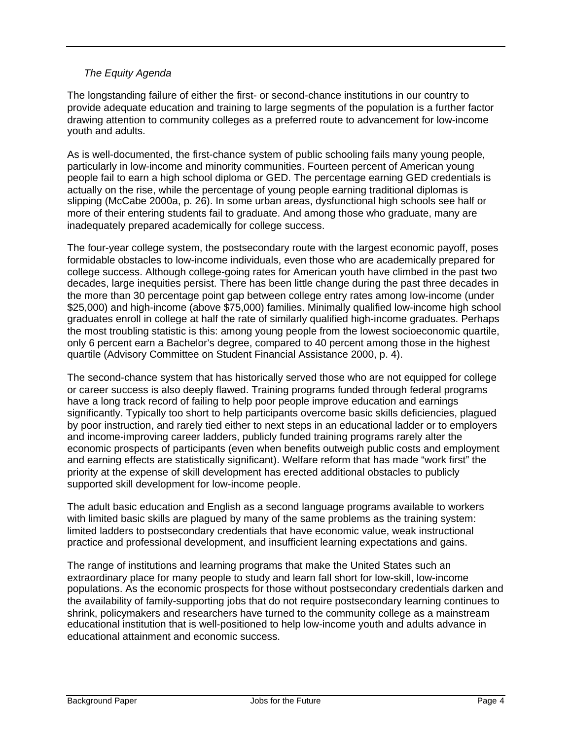#### The Equity Agenda

The longstanding failure of either the first- or second-chance institutions in our country to provide adequate education and training to large segments of the population is a further factor drawing attention to community colleges as a preferred route to advancement for low-income youth and adults.

As is well-documented, the first-chance system of public schooling fails many young people, particularly in low-income and minority communities. Fourteen percent of American young people fail to earn a high school diploma or GED. The percentage earning GED credentials is actually on the rise, while the percentage of young people earning traditional diplomas is slipping (McCabe 2000a, p. 26). In some urban areas, dysfunctional high schools see half or more of their entering students fail to graduate. And among those who graduate, many are inadequately prepared academically for college success.

The four-year college system, the postsecondary route with the largest economic payoff, poses formidable obstacles to low-income individuals, even those who are academically prepared for college success. Although college-going rates for American youth have climbed in the past two decades, large inequities persist. There has been little change during the past three decades in the more than 30 percentage point gap between college entry rates among low-income (under \$25,000) and high-income (above \$75,000) families. Minimally qualified low-income high school graduates enroll in college at half the rate of similarly qualified high-income graduates. Perhaps the most troubling statistic is this: among young people from the lowest socioeconomic quartile, only 6 percent earn a Bachelor's degree, compared to 40 percent among those in the highest quartile (Advisory Committee on Student Financial Assistance 2000, p. 4).

The second-chance system that has historically served those who are not equipped for college or career success is also deeply flawed. Training programs funded through federal programs have a long track record of failing to help poor people improve education and earnings significantly. Typically too short to help participants overcome basic skills deficiencies, plagued by poor instruction, and rarely tied either to next steps in an educational ladder or to employers and income-improving career ladders, publicly funded training programs rarely alter the economic prospects of participants (even when benefits outweigh public costs and employment and earning effects are statistically significant). Welfare reform that has made "work first" the priority at the expense of skill development has erected additional obstacles to publicly supported skill development for low-income people.

The adult basic education and English as a second language programs available to workers with limited basic skills are plagued by many of the same problems as the training system: limited ladders to postsecondary credentials that have economic value, weak instructional practice and professional development, and insufficient learning expectations and gains.

The range of institutions and learning programs that make the United States such an extraordinary place for many people to study and learn fall short for low-skill, low-income populations. As the economic prospects for those without postsecondary credentials darken and the availability of family-supporting jobs that do not require postsecondary learning continues to shrink, policymakers and researchers have turned to the community college as a mainstream educational institution that is well-positioned to help low-income youth and adults advance in educational attainment and economic success.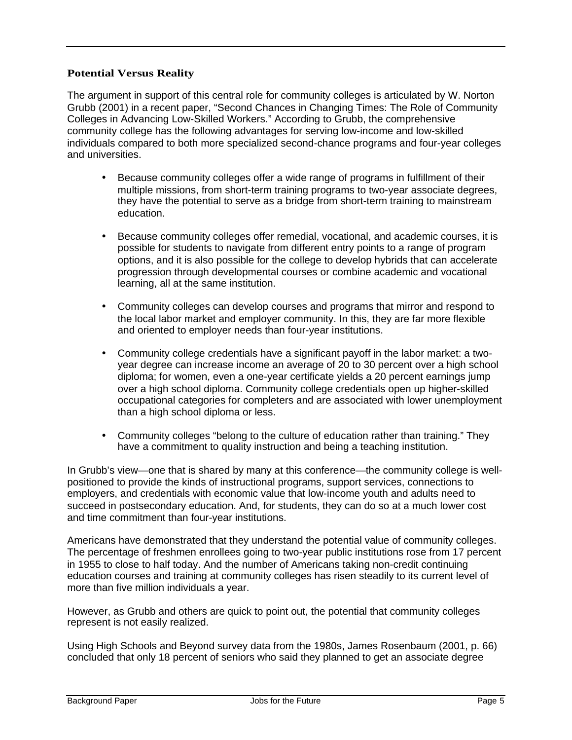#### **Potential Versus Reality**

The argument in support of this central role for community colleges is articulated by W. Norton Grubb (2001) in a recent paper, "Second Chances in Changing Times: The Role of Community Colleges in Advancing Low-Skilled Workers." According to Grubb, the comprehensive community college has the following advantages for serving low-income and low-skilled individuals compared to both more specialized second-chance programs and four-year colleges and universities.

- Because community colleges offer a wide range of programs in fulfillment of their multiple missions, from short-term training programs to two-year associate degrees, they have the potential to serve as a bridge from short-term training to mainstream education.
- Because community colleges offer remedial, vocational, and academic courses, it is possible for students to navigate from different entry points to a range of program options, and it is also possible for the college to develop hybrids that can accelerate progression through developmental courses or combine academic and vocational learning, all at the same institution.
- Community colleges can develop courses and programs that mirror and respond to the local labor market and employer community. In this, they are far more flexible and oriented to employer needs than four-year institutions.
- Community college credentials have a significant payoff in the labor market: a twoyear degree can increase income an average of 20 to 30 percent over a high school diploma; for women, even a one-year certificate yields a 20 percent earnings jump over a high school diploma. Community college credentials open up higher-skilled occupational categories for completers and are associated with lower unemployment than a high school diploma or less.
- Community colleges "belong to the culture of education rather than training." They have a commitment to quality instruction and being a teaching institution.

In Grubb's view—one that is shared by many at this conference—the community college is wellpositioned to provide the kinds of instructional programs, support services, connections to employers, and credentials with economic value that low-income youth and adults need to succeed in postsecondary education. And, for students, they can do so at a much lower cost and time commitment than four-year institutions.

Americans have demonstrated that they understand the potential value of community colleges. The percentage of freshmen enrollees going to two-year public institutions rose from 17 percent in 1955 to close to half today. And the number of Americans taking non-credit continuing education courses and training at community colleges has risen steadily to its current level of more than five million individuals a year.

However, as Grubb and others are quick to point out, the potential that community colleges represent is not easily realized.

Using High Schools and Beyond survey data from the 1980s, James Rosenbaum (2001, p. 66) concluded that only 18 percent of seniors who said they planned to get an associate degree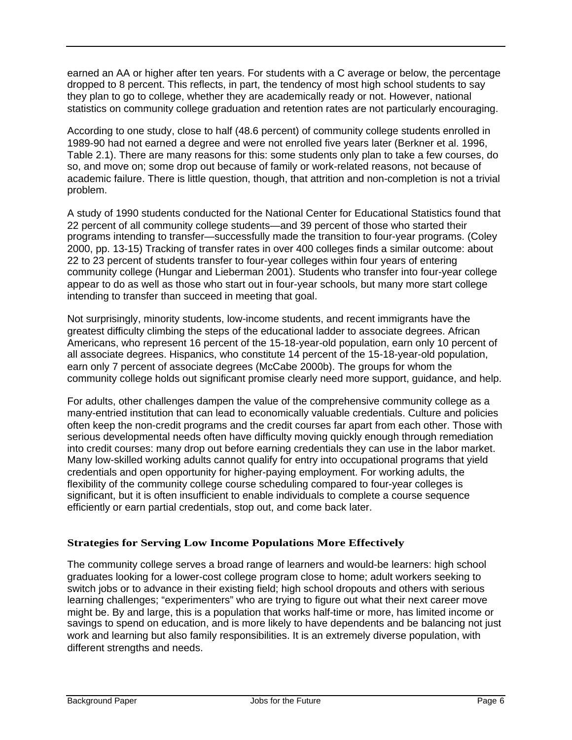earned an AA or higher after ten years. For students with a C average or below, the percentage dropped to 8 percent. This reflects, in part, the tendency of most high school students to say they plan to go to college, whether they are academically ready or not. However, national statistics on community college graduation and retention rates are not particularly encouraging.

According to one study, close to half (48.6 percent) of community college students enrolled in 1989-90 had not earned a degree and were not enrolled five years later (Berkner et al. 1996, Table 2.1). There are many reasons for this: some students only plan to take a few courses, do so, and move on; some drop out because of family or work-related reasons, not because of academic failure. There is little question, though, that attrition and non-completion is not a trivial problem.

A study of 1990 students conducted for the National Center for Educational Statistics found that 22 percent of all community college students—and 39 percent of those who started their programs intending to transfer—successfully made the transition to four-year programs. (Coley 2000, pp. 13-15) Tracking of transfer rates in over 400 colleges finds a similar outcome: about 22 to 23 percent of students transfer to four-year colleges within four years of entering community college (Hungar and Lieberman 2001). Students who transfer into four-year college appear to do as well as those who start out in four-year schools, but many more start college intending to transfer than succeed in meeting that goal.

Not surprisingly, minority students, low-income students, and recent immigrants have the greatest difficulty climbing the steps of the educational ladder to associate degrees. African Americans, who represent 16 percent of the 15-18-year-old population, earn only 10 percent of all associate degrees. Hispanics, who constitute 14 percent of the 15-18-year-old population, earn only 7 percent of associate degrees (McCabe 2000b). The groups for whom the community college holds out significant promise clearly need more support, guidance, and help.

For adults, other challenges dampen the value of the comprehensive community college as a many-entried institution that can lead to economically valuable credentials. Culture and policies often keep the non-credit programs and the credit courses far apart from each other. Those with serious developmental needs often have difficulty moving quickly enough through remediation into credit courses: many drop out before earning credentials they can use in the labor market. Many low-skilled working adults cannot qualify for entry into occupational programs that yield credentials and open opportunity for higher-paying employment. For working adults, the flexibility of the community college course scheduling compared to four-year colleges is significant, but it is often insufficient to enable individuals to complete a course sequence efficiently or earn partial credentials, stop out, and come back later.

#### **Strategies for Serving Low Income Populations More Effectively**

The community college serves a broad range of learners and would-be learners: high school graduates looking for a lower-cost college program close to home; adult workers seeking to switch jobs or to advance in their existing field; high school dropouts and others with serious learning challenges; "experimenters" who are trying to figure out what their next career move might be. By and large, this is a population that works half-time or more, has limited income or savings to spend on education, and is more likely to have dependents and be balancing not just work and learning but also family responsibilities. It is an extremely diverse population, with different strengths and needs.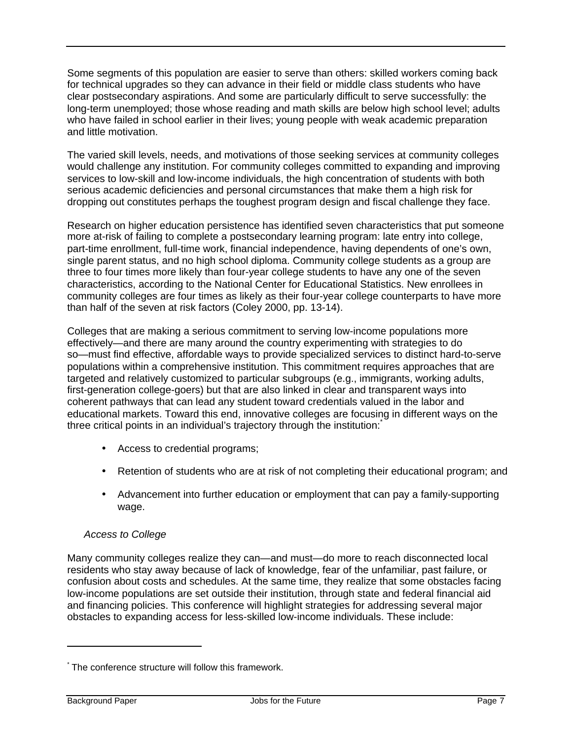Some segments of this population are easier to serve than others: skilled workers coming back for technical upgrades so they can advance in their field or middle class students who have clear postsecondary aspirations. And some are particularly difficult to serve successfully: the long-term unemployed; those whose reading and math skills are below high school level; adults who have failed in school earlier in their lives; young people with weak academic preparation and little motivation.

The varied skill levels, needs, and motivations of those seeking services at community colleges would challenge any institution. For community colleges committed to expanding and improving services to low-skill and low-income individuals, the high concentration of students with both serious academic deficiencies and personal circumstances that make them a high risk for dropping out constitutes perhaps the toughest program design and fiscal challenge they face.

Research on higher education persistence has identified seven characteristics that put someone more at-risk of failing to complete a postsecondary learning program: late entry into college, part-time enrollment, full-time work, financial independence, having dependents of one's own, single parent status, and no high school diploma. Community college students as a group are three to four times more likely than four-year college students to have any one of the seven characteristics, according to the National Center for Educational Statistics. New enrollees in community colleges are four times as likely as their four-year college counterparts to have more than half of the seven at risk factors (Coley 2000, pp. 13-14).

Colleges that are making a serious commitment to serving low-income populations more effectively—and there are many around the country experimenting with strategies to do so—must find effective, affordable ways to provide specialized services to distinct hard-to-serve populations within a comprehensive institution. This commitment requires approaches that are targeted and relatively customized to particular subgroups (e.g., immigrants, working adults, first-generation college-goers) but that are also linked in clear and transparent ways into coherent pathways that can lead any student toward credentials valued in the labor and educational markets. Toward this end, innovative colleges are focusing in different ways on the three critical points in an individual's trajectory through the institution:

- Access to credential programs;
- Retention of students who are at risk of not completing their educational program; and
- Advancement into further education or employment that can pay a family-supporting wage.

#### Access to College

Many community colleges realize they can—and must—do more to reach disconnected local residents who stay away because of lack of knowledge, fear of the unfamiliar, past failure, or confusion about costs and schedules. At the same time, they realize that some obstacles facing low-income populations are set outside their institution, through state and federal financial aid and financing policies. This conference will highlight strategies for addressing several major obstacles to expanding access for less-skilled low-income individuals. These include:

l

<sup>\*</sup> The conference structure will follow this framework.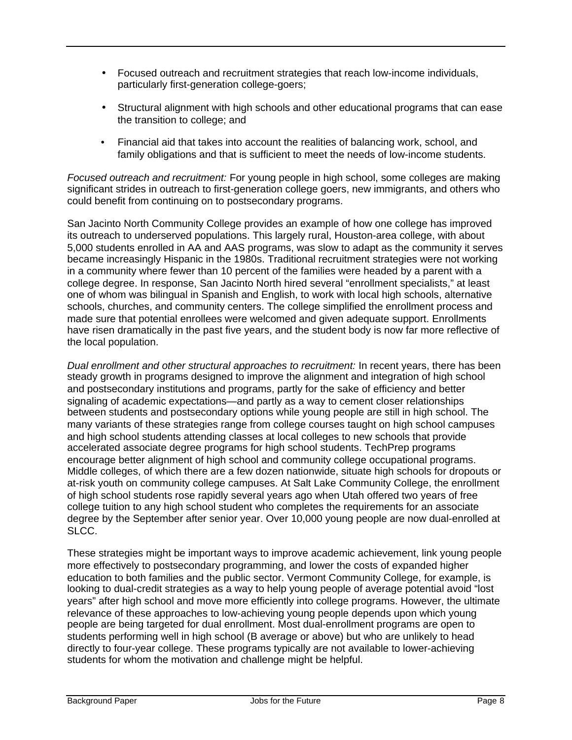- Focused outreach and recruitment strategies that reach low-income individuals, particularly first-generation college-goers;
- Structural alignment with high schools and other educational programs that can ease the transition to college; and
- Financial aid that takes into account the realities of balancing work, school, and family obligations and that is sufficient to meet the needs of low-income students.

Focused outreach and recruitment: For young people in high school, some colleges are making significant strides in outreach to first-generation college goers, new immigrants, and others who could benefit from continuing on to postsecondary programs.

San Jacinto North Community College provides an example of how one college has improved its outreach to underserved populations. This largely rural, Houston-area college, with about 5,000 students enrolled in AA and AAS programs, was slow to adapt as the community it serves became increasingly Hispanic in the 1980s. Traditional recruitment strategies were not working in a community where fewer than 10 percent of the families were headed by a parent with a college degree. In response, San Jacinto North hired several "enrollment specialists," at least one of whom was bilingual in Spanish and English, to work with local high schools, alternative schools, churches, and community centers. The college simplified the enrollment process and made sure that potential enrollees were welcomed and given adequate support. Enrollments have risen dramatically in the past five years, and the student body is now far more reflective of the local population.

Dual enrollment and other structural approaches to recruitment: In recent years, there has been steady growth in programs designed to improve the alignment and integration of high school and postsecondary institutions and programs, partly for the sake of efficiency and better signaling of academic expectations—and partly as a way to cement closer relationships between students and postsecondary options while young people are still in high school. The many variants of these strategies range from college courses taught on high school campuses and high school students attending classes at local colleges to new schools that provide accelerated associate degree programs for high school students. TechPrep programs encourage better alignment of high school and community college occupational programs. Middle colleges, of which there are a few dozen nationwide, situate high schools for dropouts or at-risk youth on community college campuses. At Salt Lake Community College, the enrollment of high school students rose rapidly several years ago when Utah offered two years of free college tuition to any high school student who completes the requirements for an associate degree by the September after senior year. Over 10,000 young people are now dual-enrolled at SLCC.

These strategies might be important ways to improve academic achievement, link young people more effectively to postsecondary programming, and lower the costs of expanded higher education to both families and the public sector. Vermont Community College, for example, is looking to dual-credit strategies as a way to help young people of average potential avoid "lost years" after high school and move more efficiently into college programs. However, the ultimate relevance of these approaches to low-achieving young people depends upon which young people are being targeted for dual enrollment. Most dual-enrollment programs are open to students performing well in high school (B average or above) but who are unlikely to head directly to four-year college. These programs typically are not available to lower-achieving students for whom the motivation and challenge might be helpful.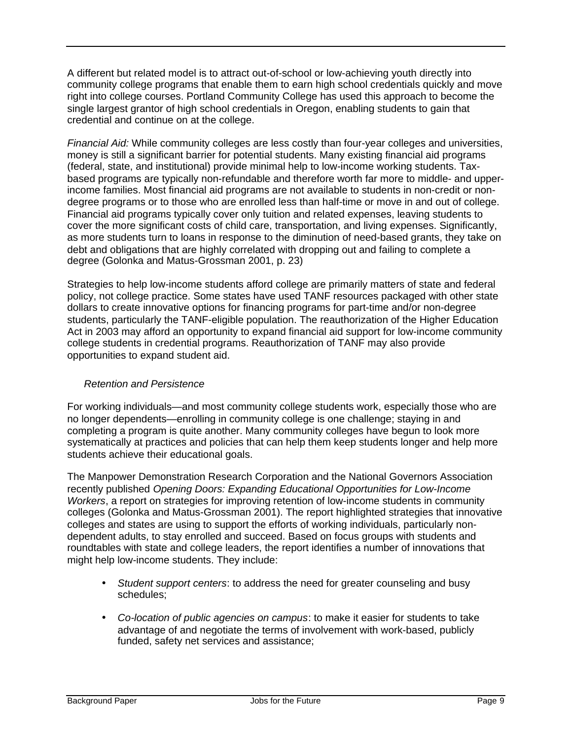A different but related model is to attract out-of-school or low-achieving youth directly into community college programs that enable them to earn high school credentials quickly and move right into college courses. Portland Community College has used this approach to become the single largest grantor of high school credentials in Oregon, enabling students to gain that credential and continue on at the college.

Financial Aid: While community colleges are less costly than four-year colleges and universities, money is still a significant barrier for potential students. Many existing financial aid programs (federal, state, and institutional) provide minimal help to low-income working students. Taxbased programs are typically non-refundable and therefore worth far more to middle- and upperincome families. Most financial aid programs are not available to students in non-credit or nondegree programs or to those who are enrolled less than half-time or move in and out of college. Financial aid programs typically cover only tuition and related expenses, leaving students to cover the more significant costs of child care, transportation, and living expenses. Significantly, as more students turn to loans in response to the diminution of need-based grants, they take on debt and obligations that are highly correlated with dropping out and failing to complete a degree (Golonka and Matus-Grossman 2001, p. 23)

Strategies to help low-income students afford college are primarily matters of state and federal policy, not college practice. Some states have used TANF resources packaged with other state dollars to create innovative options for financing programs for part-time and/or non-degree students, particularly the TANF-eligible population. The reauthorization of the Higher Education Act in 2003 may afford an opportunity to expand financial aid support for low-income community college students in credential programs. Reauthorization of TANF may also provide opportunities to expand student aid.

#### Retention and Persistence

For working individuals—and most community college students work, especially those who are no longer dependents—enrolling in community college is one challenge; staying in and completing a program is quite another. Many community colleges have begun to look more systematically at practices and policies that can help them keep students longer and help more students achieve their educational goals.

The Manpower Demonstration Research Corporation and the National Governors Association recently published Opening Doors: Expanding Educational Opportunities for Low-Income Workers, a report on strategies for improving retention of low-income students in community colleges (Golonka and Matus-Grossman 2001). The report highlighted strategies that innovative colleges and states are using to support the efforts of working individuals, particularly nondependent adults, to stay enrolled and succeed. Based on focus groups with students and roundtables with state and college leaders, the report identifies a number of innovations that might help low-income students. They include:

- Student support centers: to address the need for greater counseling and busy schedules;
- Co-location of public agencies on campus: to make it easier for students to take advantage of and negotiate the terms of involvement with work-based, publicly funded, safety net services and assistance;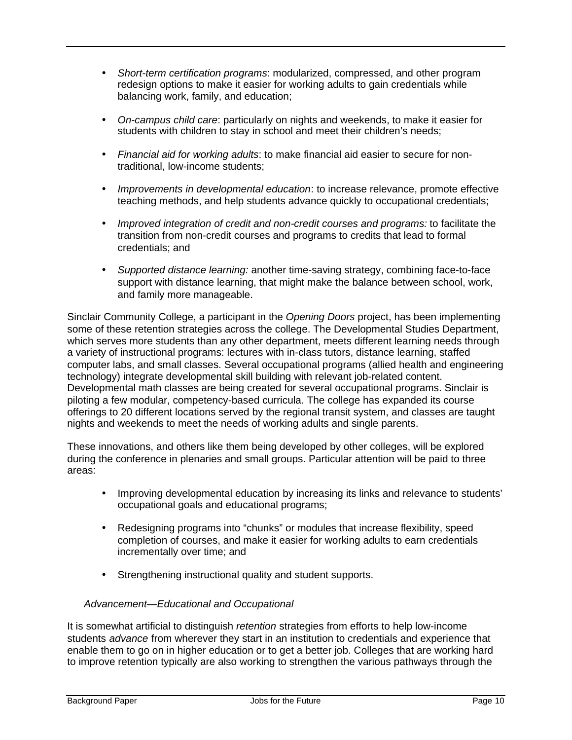- Short-term certification programs: modularized, compressed, and other program redesign options to make it easier for working adults to gain credentials while balancing work, family, and education;
- On-campus child care: particularly on nights and weekends, to make it easier for students with children to stay in school and meet their children's needs;
- Financial aid for working adults: to make financial aid easier to secure for nontraditional, low-income students;
- Improvements in developmental education: to increase relevance, promote effective teaching methods, and help students advance quickly to occupational credentials;
- Improved integration of credit and non-credit courses and programs: to facilitate the transition from non-credit courses and programs to credits that lead to formal credentials; and
- Supported distance learning: another time-saving strategy, combining face-to-face support with distance learning, that might make the balance between school, work, and family more manageable.

Sinclair Community College, a participant in the Opening Doors project, has been implementing some of these retention strategies across the college. The Developmental Studies Department, which serves more students than any other department, meets different learning needs through a variety of instructional programs: lectures with in-class tutors, distance learning, staffed computer labs, and small classes. Several occupational programs (allied health and engineering technology) integrate developmental skill building with relevant job-related content. Developmental math classes are being created for several occupational programs. Sinclair is piloting a few modular, competency-based curricula. The college has expanded its course offerings to 20 different locations served by the regional transit system, and classes are taught nights and weekends to meet the needs of working adults and single parents.

These innovations, and others like them being developed by other colleges, will be explored during the conference in plenaries and small groups. Particular attention will be paid to three areas:

- Improving developmental education by increasing its links and relevance to students' occupational goals and educational programs;
- Redesigning programs into "chunks" or modules that increase flexibility, speed completion of courses, and make it easier for working adults to earn credentials incrementally over time; and
- Strengthening instructional quality and student supports.

#### Advancement—Educational and Occupational

It is somewhat artificial to distinguish *retention* strategies from efforts to help low-income students advance from wherever they start in an institution to credentials and experience that enable them to go on in higher education or to get a better job. Colleges that are working hard to improve retention typically are also working to strengthen the various pathways through the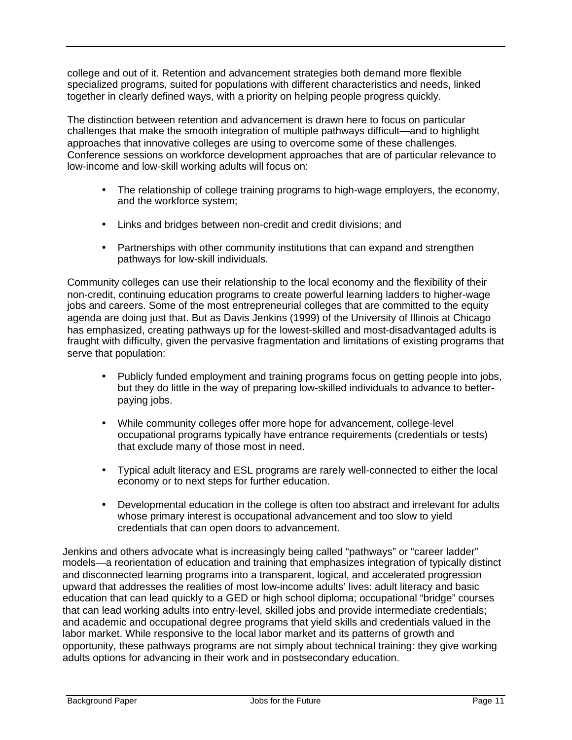college and out of it. Retention and advancement strategies both demand more flexible specialized programs, suited for populations with different characteristics and needs, linked together in clearly defined ways, with a priority on helping people progress quickly.

The distinction between retention and advancement is drawn here to focus on particular challenges that make the smooth integration of multiple pathways difficult—and to highlight approaches that innovative colleges are using to overcome some of these challenges. Conference sessions on workforce development approaches that are of particular relevance to low-income and low-skill working adults will focus on:

- The relationship of college training programs to high-wage employers, the economy, and the workforce system;
- Links and bridges between non-credit and credit divisions; and
- Partnerships with other community institutions that can expand and strengthen pathways for low-skill individuals.

Community colleges can use their relationship to the local economy and the flexibility of their non-credit, continuing education programs to create powerful learning ladders to higher-wage jobs and careers. Some of the most entrepreneurial colleges that are committed to the equity agenda are doing just that. But as Davis Jenkins (1999) of the University of Illinois at Chicago has emphasized, creating pathways up for the lowest-skilled and most-disadvantaged adults is fraught with difficulty, given the pervasive fragmentation and limitations of existing programs that serve that population:

- Publicly funded employment and training programs focus on getting people into jobs, but they do little in the way of preparing low-skilled individuals to advance to betterpaying jobs.
- While community colleges offer more hope for advancement, college-level occupational programs typically have entrance requirements (credentials or tests) that exclude many of those most in need.
- Typical adult literacy and ESL programs are rarely well-connected to either the local economy or to next steps for further education.
- Developmental education in the college is often too abstract and irrelevant for adults whose primary interest is occupational advancement and too slow to yield credentials that can open doors to advancement.

Jenkins and others advocate what is increasingly being called "pathways" or "career ladder" models—a reorientation of education and training that emphasizes integration of typically distinct and disconnected learning programs into a transparent, logical, and accelerated progression upward that addresses the realities of most low-income adults' lives: adult literacy and basic education that can lead quickly to a GED or high school diploma; occupational "bridge" courses that can lead working adults into entry-level, skilled jobs and provide intermediate credentials; and academic and occupational degree programs that yield skills and credentials valued in the labor market. While responsive to the local labor market and its patterns of growth and opportunity, these pathways programs are not simply about technical training: they give working adults options for advancing in their work and in postsecondary education.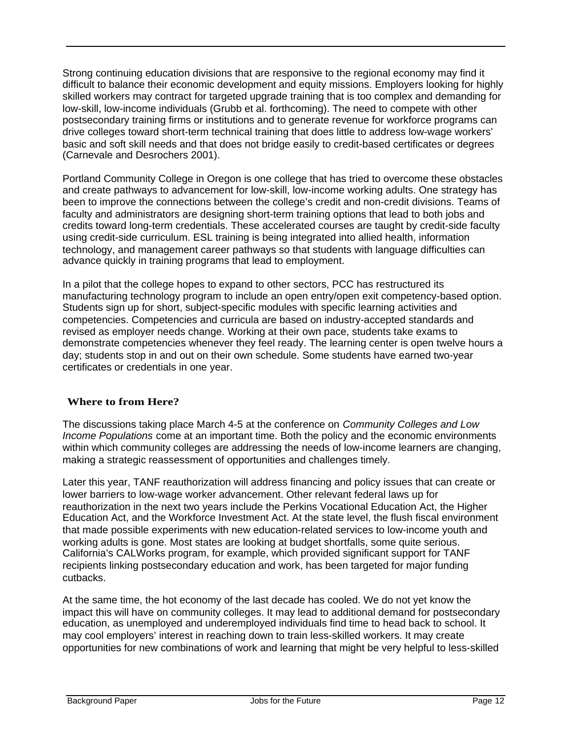Strong continuing education divisions that are responsive to the regional economy may find it difficult to balance their economic development and equity missions. Employers looking for highly skilled workers may contract for targeted upgrade training that is too complex and demanding for low-skill, low-income individuals (Grubb et al. forthcoming). The need to compete with other postsecondary training firms or institutions and to generate revenue for workforce programs can drive colleges toward short-term technical training that does little to address low-wage workers' basic and soft skill needs and that does not bridge easily to credit-based certificates or degrees (Carnevale and Desrochers 2001).

Portland Community College in Oregon is one college that has tried to overcome these obstacles and create pathways to advancement for low-skill, low-income working adults. One strategy has been to improve the connections between the college's credit and non-credit divisions. Teams of faculty and administrators are designing short-term training options that lead to both jobs and credits toward long-term credentials. These accelerated courses are taught by credit-side faculty using credit-side curriculum. ESL training is being integrated into allied health, information technology, and management career pathways so that students with language difficulties can advance quickly in training programs that lead to employment.

In a pilot that the college hopes to expand to other sectors, PCC has restructured its manufacturing technology program to include an open entry/open exit competency-based option. Students sign up for short, subject-specific modules with specific learning activities and competencies. Competencies and curricula are based on industry-accepted standards and revised as employer needs change. Working at their own pace, students take exams to demonstrate competencies whenever they feel ready. The learning center is open twelve hours a day; students stop in and out on their own schedule. Some students have earned two-year certificates or credentials in one year.

#### **Where to from Here?**

The discussions taking place March 4-5 at the conference on *Community Colleges and Low* Income Populations come at an important time. Both the policy and the economic environments within which community colleges are addressing the needs of low-income learners are changing, making a strategic reassessment of opportunities and challenges timely.

Later this year, TANF reauthorization will address financing and policy issues that can create or lower barriers to low-wage worker advancement. Other relevant federal laws up for reauthorization in the next two years include the Perkins Vocational Education Act, the Higher Education Act, and the Workforce Investment Act. At the state level, the flush fiscal environment that made possible experiments with new education-related services to low-income youth and working adults is gone. Most states are looking at budget shortfalls, some quite serious. California's CALWorks program, for example, which provided significant support for TANF recipients linking postsecondary education and work, has been targeted for major funding cutbacks.

At the same time, the hot economy of the last decade has cooled. We do not yet know the impact this will have on community colleges. It may lead to additional demand for postsecondary education, as unemployed and underemployed individuals find time to head back to school. It may cool employers' interest in reaching down to train less-skilled workers. It may create opportunities for new combinations of work and learning that might be very helpful to less-skilled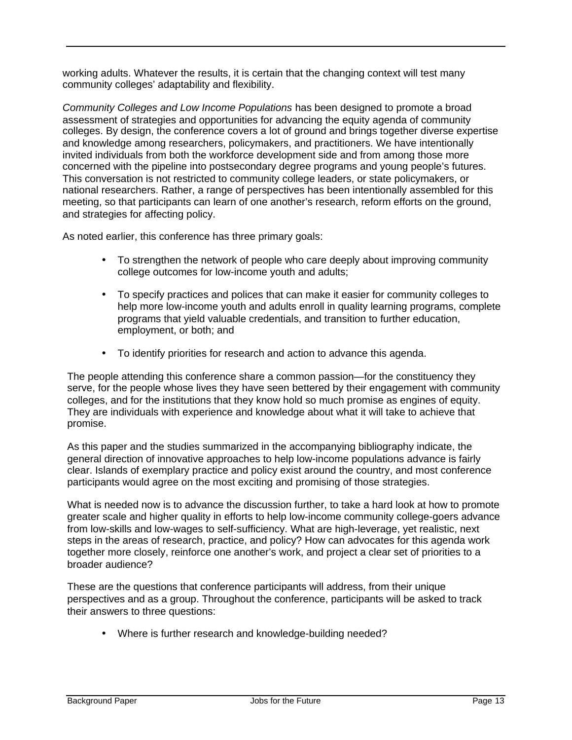working adults. Whatever the results, it is certain that the changing context will test many community colleges' adaptability and flexibility.

Community Colleges and Low Income Populations has been designed to promote a broad assessment of strategies and opportunities for advancing the equity agenda of community colleges. By design, the conference covers a lot of ground and brings together diverse expertise and knowledge among researchers, policymakers, and practitioners. We have intentionally invited individuals from both the workforce development side and from among those more concerned with the pipeline into postsecondary degree programs and young people's futures. This conversation is not restricted to community college leaders, or state policymakers, or national researchers. Rather, a range of perspectives has been intentionally assembled for this meeting, so that participants can learn of one another's research, reform efforts on the ground, and strategies for affecting policy.

As noted earlier, this conference has three primary goals:

- To strengthen the network of people who care deeply about improving community college outcomes for low-income youth and adults;
- To specify practices and polices that can make it easier for community colleges to help more low-income youth and adults enroll in quality learning programs, complete programs that yield valuable credentials, and transition to further education, employment, or both; and
- To identify priorities for research and action to advance this agenda.

The people attending this conference share a common passion—for the constituency they serve, for the people whose lives they have seen bettered by their engagement with community colleges, and for the institutions that they know hold so much promise as engines of equity. They are individuals with experience and knowledge about what it will take to achieve that promise.

As this paper and the studies summarized in the accompanying bibliography indicate, the general direction of innovative approaches to help low-income populations advance is fairly clear. Islands of exemplary practice and policy exist around the country, and most conference participants would agree on the most exciting and promising of those strategies.

What is needed now is to advance the discussion further, to take a hard look at how to promote greater scale and higher quality in efforts to help low-income community college-goers advance from low-skills and low-wages to self-sufficiency. What are high-leverage, yet realistic, next steps in the areas of research, practice, and policy? How can advocates for this agenda work together more closely, reinforce one another's work, and project a clear set of priorities to a broader audience?

These are the questions that conference participants will address, from their unique perspectives and as a group. Throughout the conference, participants will be asked to track their answers to three questions:

• Where is further research and knowledge-building needed?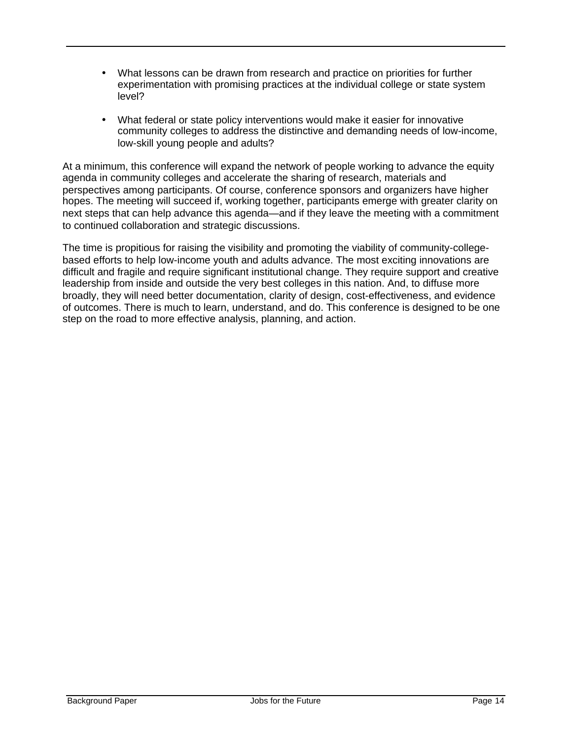- What lessons can be drawn from research and practice on priorities for further experimentation with promising practices at the individual college or state system level?
- What federal or state policy interventions would make it easier for innovative community colleges to address the distinctive and demanding needs of low-income, low-skill young people and adults?

At a minimum, this conference will expand the network of people working to advance the equity agenda in community colleges and accelerate the sharing of research, materials and perspectives among participants. Of course, conference sponsors and organizers have higher hopes. The meeting will succeed if, working together, participants emerge with greater clarity on next steps that can help advance this agenda—and if they leave the meeting with a commitment to continued collaboration and strategic discussions.

The time is propitious for raising the visibility and promoting the viability of community-collegebased efforts to help low-income youth and adults advance. The most exciting innovations are difficult and fragile and require significant institutional change. They require support and creative leadership from inside and outside the very best colleges in this nation. And, to diffuse more broadly, they will need better documentation, clarity of design, cost-effectiveness, and evidence of outcomes. There is much to learn, understand, and do. This conference is designed to be one step on the road to more effective analysis, planning, and action.